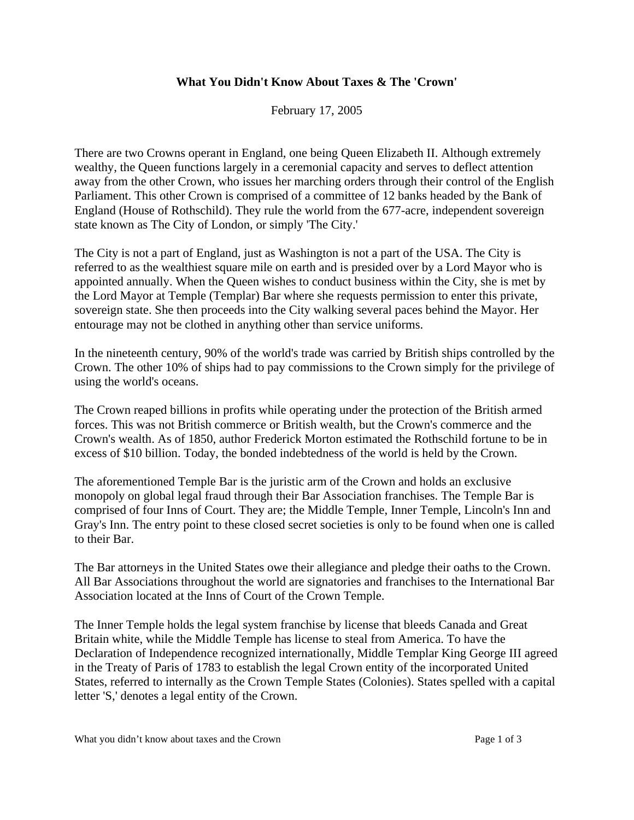## **What You Didn't Know About Taxes & The 'Crown'**

February 17, 2005

There are two Crowns operant in England, one being Queen Elizabeth II. Although extremely wealthy, the Queen functions largely in a ceremonial capacity and serves to deflect attention away from the other Crown, who issues her marching orders through their control of the English Parliament. This other Crown is comprised of a committee of 12 banks headed by the Bank of England (House of Rothschild). They rule the world from the 677-acre, independent sovereign state known as The City of London, or simply 'The City.'

The City is not a part of England, just as Washington is not a part of the USA. The City is referred to as the wealthiest square mile on earth and is presided over by a Lord Mayor who is appointed annually. When the Queen wishes to conduct business within the City, she is met by the Lord Mayor at Temple (Templar) Bar where she requests permission to enter this private, sovereign state. She then proceeds into the City walking several paces behind the Mayor. Her entourage may not be clothed in anything other than service uniforms.

In the nineteenth century, 90% of the world's trade was carried by British ships controlled by the Crown. The other 10% of ships had to pay commissions to the Crown simply for the privilege of using the world's oceans.

The Crown reaped billions in profits while operating under the protection of the British armed forces. This was not British commerce or British wealth, but the Crown's commerce and the Crown's wealth. As of 1850, author Frederick Morton estimated the Rothschild fortune to be in excess of \$10 billion. Today, the bonded indebtedness of the world is held by the Crown.

The aforementioned Temple Bar is the juristic arm of the Crown and holds an exclusive monopoly on global legal fraud through their Bar Association franchises. The Temple Bar is comprised of four Inns of Court. They are; the Middle Temple, Inner Temple, Lincoln's Inn and Gray's Inn. The entry point to these closed secret societies is only to be found when one is called to their Bar.

The Bar attorneys in the United States owe their allegiance and pledge their oaths to the Crown. All Bar Associations throughout the world are signatories and franchises to the International Bar Association located at the Inns of Court of the Crown Temple.

The Inner Temple holds the legal system franchise by license that bleeds Canada and Great Britain white, while the Middle Temple has license to steal from America. To have the Declaration of Independence recognized internationally, Middle Templar King George III agreed in the Treaty of Paris of 1783 to establish the legal Crown entity of the incorporated United States, referred to internally as the Crown Temple States (Colonies). States spelled with a capital letter 'S,' denotes a legal entity of the Crown.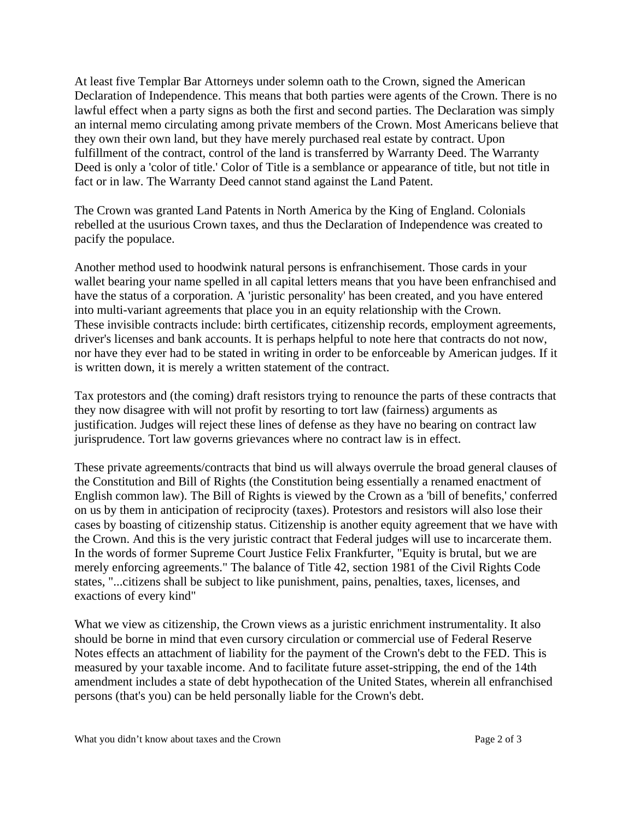At least five Templar Bar Attorneys under solemn oath to the Crown, signed the American Declaration of Independence. This means that both parties were agents of the Crown. There is no lawful effect when a party signs as both the first and second parties. The Declaration was simply an internal memo circulating among private members of the Crown. Most Americans believe that they own their own land, but they have merely purchased real estate by contract. Upon fulfillment of the contract, control of the land is transferred by Warranty Deed. The Warranty Deed is only a 'color of title.' Color of Title is a semblance or appearance of title, but not title in fact or in law. The Warranty Deed cannot stand against the Land Patent.

The Crown was granted Land Patents in North America by the King of England. Colonials rebelled at the usurious Crown taxes, and thus the Declaration of Independence was created to pacify the populace.

Another method used to hoodwink natural persons is enfranchisement. Those cards in your wallet bearing your name spelled in all capital letters means that you have been enfranchised and have the status of a corporation. A 'juristic personality' has been created, and you have entered into multi-variant agreements that place you in an equity relationship with the Crown. These invisible contracts include: birth certificates, citizenship records, employment agreements, driver's licenses and bank accounts. It is perhaps helpful to note here that contracts do not now, nor have they ever had to be stated in writing in order to be enforceable by American judges. If it is written down, it is merely a written statement of the contract.

Tax protestors and (the coming) draft resistors trying to renounce the parts of these contracts that they now disagree with will not profit by resorting to tort law (fairness) arguments as justification. Judges will reject these lines of defense as they have no bearing on contract law jurisprudence. Tort law governs grievances where no contract law is in effect.

These private agreements/contracts that bind us will always overrule the broad general clauses of the Constitution and Bill of Rights (the Constitution being essentially a renamed enactment of English common law). The Bill of Rights is viewed by the Crown as a 'bill of benefits,' conferred on us by them in anticipation of reciprocity (taxes). Protestors and resistors will also lose their cases by boasting of citizenship status. Citizenship is another equity agreement that we have with the Crown. And this is the very juristic contract that Federal judges will use to incarcerate them. In the words of former Supreme Court Justice Felix Frankfurter, "Equity is brutal, but we are merely enforcing agreements." The balance of Title 42, section 1981 of the Civil Rights Code states, "...citizens shall be subject to like punishment, pains, penalties, taxes, licenses, and exactions of every kind"

What we view as citizenship, the Crown views as a juristic enrichment instrumentality. It also should be borne in mind that even cursory circulation or commercial use of Federal Reserve Notes effects an attachment of liability for the payment of the Crown's debt to the FED. This is measured by your taxable income. And to facilitate future asset-stripping, the end of the 14th amendment includes a state of debt hypothecation of the United States, wherein all enfranchised persons (that's you) can be held personally liable for the Crown's debt.